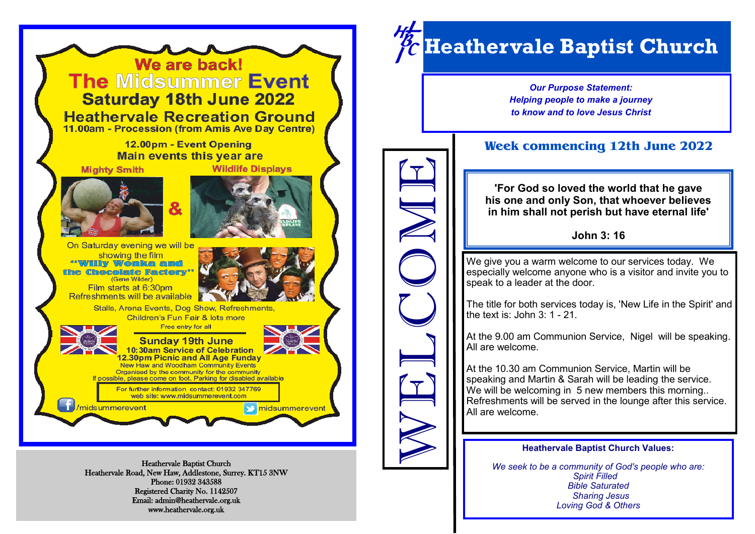

Heathervale Road, New Haw, Addlestone, Surrey. KT15 3NW Phone: 01932 343588 Registered Charity No. 1142507 Email: admin@heathervale.org.uk www.heathervale.org.uk

# *Heathervale Baptist Church*

*Our Purpose Statement: Helping people to make a journey to know and to love Jesus Christ*

## **Week commencing 12th June 2022**

**'For God so loved the world that he gave his one and only Son, that whoever believes in him shall not perish but have eternal life'**

### **John 3: 16**

We give you a warm welcome to our services today. We especially welcome anyone who is a visitor and invite you to speak to a leader at the door.

The title for both services today is, 'New Life in the Spirit' and the text is: John  $3:1 - 21$ .

At the 9.00 am Communion Service, Nigel will be speaking. All are welcome.

At the 10.30 am Communion Service, Martin will be speaking and Martin & Sarah will be leading the service. We will be welcoming in 5 new members this morning... Refreshments will be served in the lounge after this service. All are welcome. WELCOME

#### **Heathervale Baptist Church Values:**

*We seek to be a community of God's people who are: Spirit Filled Bible Saturated Sharing Jesus Loving God & Others*